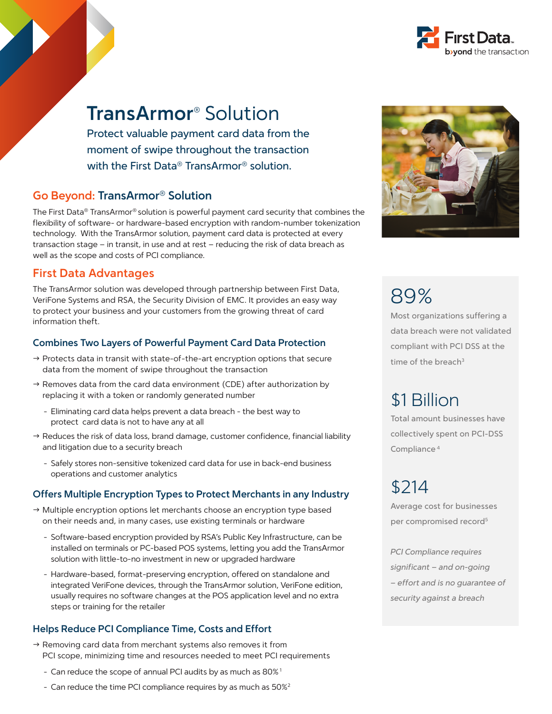

Protect valuable payment card data from the moment of swipe throughout the transaction with the First Data® TransArmor® solution.

### **Go Beyond: TransArmor® Solution**

The First Data® TransArmor® solution is powerful payment card security that combines the flexibility of software- or hardware-based encryption with random-number tokenization technology. With the TransArmor solution, payment card data is protected at every transaction stage – in transit, in use and at rest – reducing the risk of data breach as well as the scope and costs of PCI compliance.

### **First Data Advantages**

The TransArmor solution was developed through partnership between First Data, VeriFone Systems and RSA, the Security Division of EMC. It provides an easy way to protect your business and your customers from the growing threat of card information theft.

#### **Combines Two Layers of Powerful Payment Card Data Protection**

- $\rightarrow$  Protects data in transit with state-of-the-art encryption options that secure data from the moment of swipe throughout the transaction
- $\rightarrow$  Removes data from the card data environment (CDE) after authorization by replacing it with a token or randomly generated number
	- Eliminating card data helps prevent a data breach the best way to protect card data is not to have any at all
- $\rightarrow$  Reduces the risk of data loss, brand damage, customer confidence, financial liability and litigation due to a security breach
	- Safely stores non-sensitive tokenized card data for use in back-end business operations and customer analytics

#### **Offers Multiple Encryption Types to Protect Merchants in any Industry**

- $\rightarrow$  Multiple encryption options let merchants choose an encryption type based on their needs and, in many cases, use existing terminals or hardware
	- Software-based encryption provided by RSA's Public Key Infrastructure, can be installed on terminals or PC-based POS systems, letting you add the TransArmor solution with little-to-no investment in new or upgraded hardware
	- Hardware-based, format-preserving encryption, offered on standalone and integrated VeriFone devices, through the TransArmor solution, VeriFone edition, usually requires no software changes at the POS application level and no extra steps or training for the retailer

#### **Helps Reduce PCI Compliance Time, Costs and Effort**

- $\rightarrow$  Removing card data from merchant systems also removes it from PCI scope, minimizing time and resources needed to meet PCI requirements
	- Can reduce the scope of annual PCI audits by as much as 80%<sup>1</sup>
	- Can reduce the time PCI compliance requires by as much as 50%<sup>2</sup>



89%

Most organizations suffering a data breach were not validated compliant with PCI DSS at the time of the breach $3$ 

## \$1 Billion

Total amount businesses have collectively spent on PCI-DSS Compliance 4

# \$214

Average cost for businesses per compromised record<sup>5</sup>

PCI Compliance requires significant – and on-going – effort and is no guarantee of security against a breach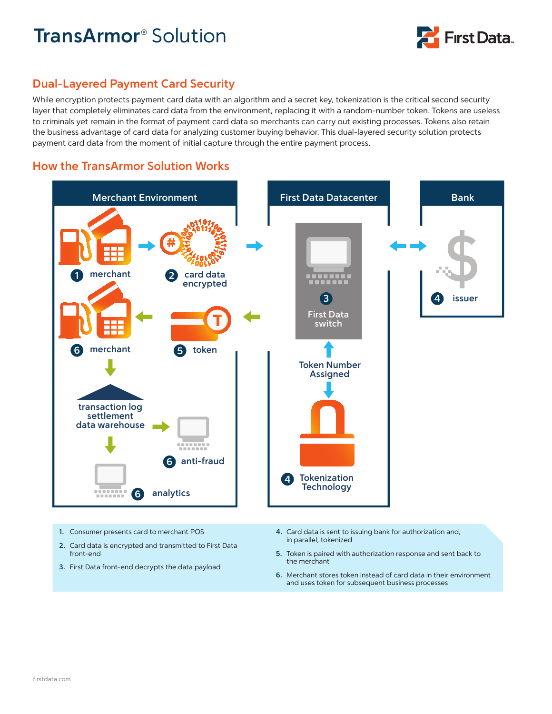

## **Dual-Layered Payment Card Security**

While encryption protects payment card data with an algorithm and a secret key, tokenization is the critical second security layer that completely eliminates card data from the environment, replacing it with a random-number token. Tokens are useless to criminals yet remain in the format of payment card data so merchants can carry out existing processes. Tokens also retain the business advantage of card data for analyzing customer buying behavior. This dual-layered security solution protects payment card data from the moment of initial capture through the entire payment process.

### **How the TransArmor Solution Works**



- **1.** Consumer presents card to merchant POS
- **2.** Card data is encrypted and transmitted to First Data front-end
- **3.** First Data front-end decrypts the data payload
- **4.** Card data is sent to issuing bank for authorization and, in parallel, tokenized
- **5.** Token is paired with authorization response and sent back to the merchant
- **6.** Merchant stores token instead of card data in their environment and uses token for subsequent business processes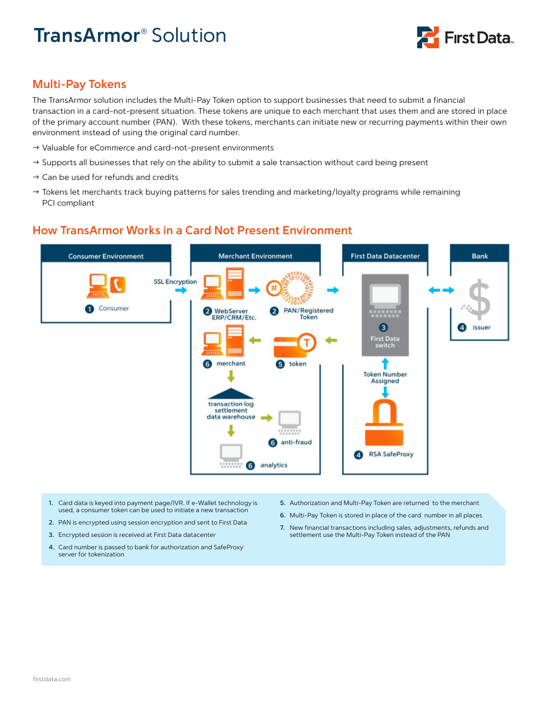

## **Multi-Pay Tokens**

The TransArmor solution includes the Multi-Pay Token option to support businesses that need to submit a financial transaction in a card-not-present situation. These tokens are unique to each merchant that uses them and are stored in place of the primary account number (PAN). With these tokens, merchants can initiate new or recurring payments within their own environment instead of using the original card number.

- $\rightarrow$  Valuable for eCommerce and card-not-present environments
- $\rightarrow$  Supports all businesses that rely on the ability to submit a sale transaction without card being present
- $\rightarrow$  Can be used for refunds and credits
- $\rightarrow$  Tokens let merchants track buying patterns for sales trending and marketing/loyalty programs while remaining PCI compliant

## **How TransArmor Works in a Card Not Present Environment**



- **1.** Card data is keyed into payment page/IVR. If e-Wallet technology is used, a consumer token can be used to initiate a new transaction
- **2.** PAN is encrypted using session encryption and sent to First Data
- **3.** Encrypted session is received at First Data datacenter
- **4.** Card number is passed to bank for authorization and SafeProxy server for tokenization
- **5.** Authorization and Multi-Pay Token are returned to the merchant
- **6.** Multi-Pay Token is stored in place of the card number in all places
- **7.** New financial transactions including sales, adjustments, refunds and settlement use the Multi-Pay Token instead of the PAN